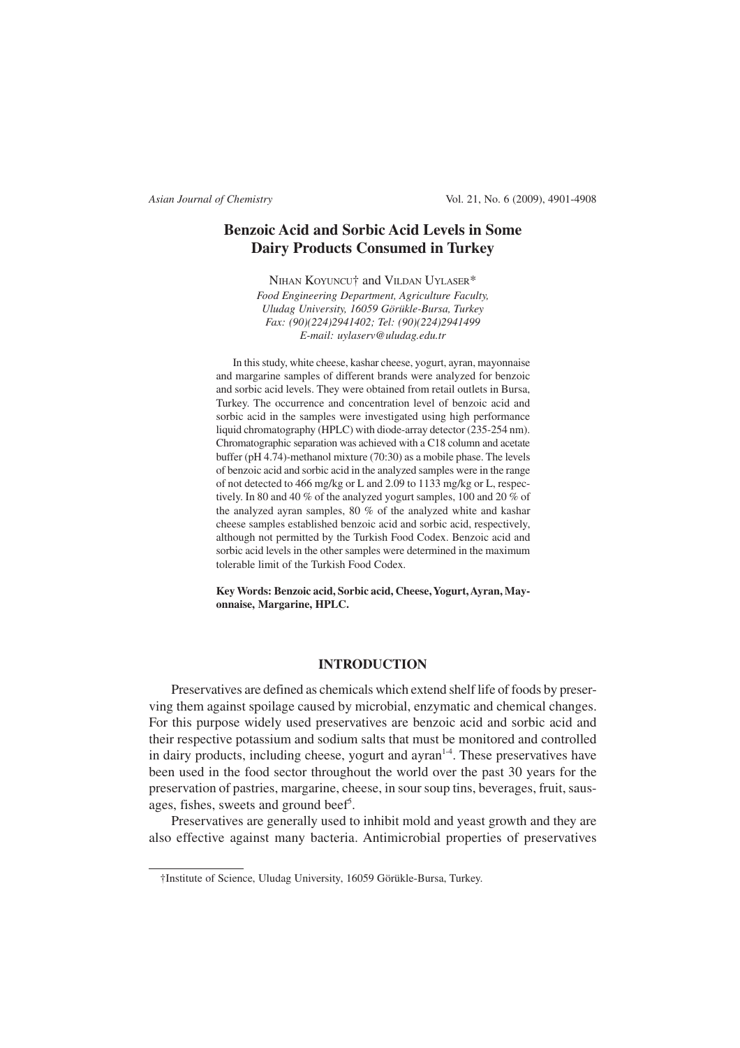# **Benzoic Acid and Sorbic Acid Levels in Some Dairy Products Consumed in Turkey**

NIHAN KOYUNCU† and VILDAN UYLASER\* *Food Engineering Department, Agriculture Faculty, Uludag University, 16059 Görükle-Bursa, Turkey Fax: (90)(224)2941402; Tel: (90)(224)2941499 E-mail: uylaserv@uludag.edu.tr*

In this study, white cheese, kashar cheese, yogurt, ayran, mayonnaise and margarine samples of different brands were analyzed for benzoic and sorbic acid levels. They were obtained from retail outlets in Bursa, Turkey. The occurrence and concentration level of benzoic acid and sorbic acid in the samples were investigated using high performance liquid chromatography (HPLC) with diode-array detector (235-254 nm). Chromatographic separation was achieved with a C18 column and acetate buffer (pH 4.74)-methanol mixture (70:30) as a mobile phase. The levels of benzoic acid and sorbic acid in the analyzed samples were in the range of not detected to 466 mg/kg or L and 2.09 to 1133 mg/kg or L, respectively. In 80 and 40 % of the analyzed yogurt samples, 100 and 20 % of the analyzed ayran samples, 80 % of the analyzed white and kashar cheese samples established benzoic acid and sorbic acid, respectively, although not permitted by the Turkish Food Codex. Benzoic acid and sorbic acid levels in the other samples were determined in the maximum tolerable limit of the Turkish Food Codex.

**Key Words: Benzoic acid, Sorbic acid, Cheese, Yogurt, Ayran, Mayonnaise, Margarine, HPLC.**

# **INTRODUCTION**

Preservatives are defined as chemicals which extend shelf life of foods by preserving them against spoilage caused by microbial, enzymatic and chemical changes. For this purpose widely used preservatives are benzoic acid and sorbic acid and their respective potassium and sodium salts that must be monitored and controlled in dairy products, including cheese, yogurt and ayran<sup>1-4</sup>. These preservatives have been used in the food sector throughout the world over the past 30 years for the preservation of pastries, margarine, cheese, in sour soup tins, beverages, fruit, sausages, fishes, sweets and ground beef<sup>5</sup>.

Preservatives are generally used to inhibit mold and yeast growth and they are also effective against many bacteria. Antimicrobial properties of preservatives

<sup>†</sup>Institute of Science, Uludag University, 16059 Görükle-Bursa, Turkey.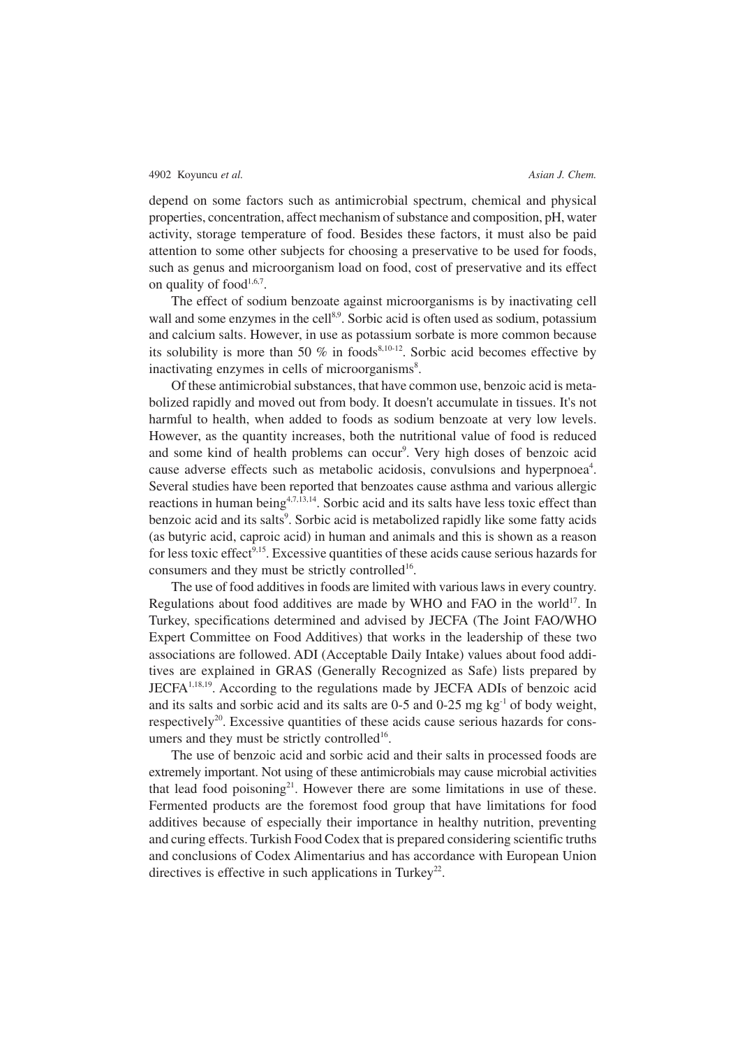depend on some factors such as antimicrobial spectrum, chemical and physical properties, concentration, affect mechanism of substance and composition, pH, water activity, storage temperature of food. Besides these factors, it must also be paid attention to some other subjects for choosing a preservative to be used for foods, such as genus and microorganism load on food, cost of preservative and its effect on quality of food $1,6,7$ .

The effect of sodium benzoate against microorganisms is by inactivating cell wall and some enzymes in the cell<sup>8,9</sup>. Sorbic acid is often used as sodium, potassium and calcium salts. However, in use as potassium sorbate is more common because its solubility is more than 50 % in foods<sup>8,10-12</sup>. Sorbic acid becomes effective by inactivating enzymes in cells of microorganisms<sup>8</sup>.

Of these antimicrobial substances, that have common use, benzoic acid is metabolized rapidly and moved out from body. It doesn't accumulate in tissues. It's not harmful to health, when added to foods as sodium benzoate at very low levels. However, as the quantity increases, both the nutritional value of food is reduced and some kind of health problems can occur<sup>9</sup>. Very high doses of benzoic acid cause adverse effects such as metabolic acidosis, convulsions and hyperpnoea<sup>4</sup>. Several studies have been reported that benzoates cause asthma and various allergic reactions in human being<sup>4,7,13,14</sup>. Sorbic acid and its salts have less toxic effect than benzoic acid and its salts<sup>9</sup>. Sorbic acid is metabolized rapidly like some fatty acids (as butyric acid, caproic acid) in human and animals and this is shown as a reason for less toxic effect<sup>9,15</sup>. Excessive quantities of these acids cause serious hazards for consumers and they must be strictly controlled<sup>16</sup>.

The use of food additives in foods are limited with various laws in every country. Regulations about food additives are made by WHO and FAO in the world<sup>17</sup>. In Turkey, specifications determined and advised by JECFA (The Joint FAO/WHO Expert Committee on Food Additives) that works in the leadership of these two associations are followed. ADI (Acceptable Daily Intake) values about food additives are explained in GRAS (Generally Recognized as Safe) lists prepared by JECFA 1,18,19 . According to the regulations made by JECFA ADIs of benzoic acid and its salts and sorbic acid and its salts are  $0-5$  and  $0-25$  mg kg<sup>-1</sup> of body weight, respectively<sup>20</sup>. Excessive quantities of these acids cause serious hazards for consumers and they must be strictly controlled<sup>16</sup>.

The use of benzoic acid and sorbic acid and their salts in processed foods are extremely important. Not using of these antimicrobials may cause microbial activities that lead food poisoning<sup>21</sup>. However there are some limitations in use of these. Fermented products are the foremost food group that have limitations for food additives because of especially their importance in healthy nutrition, preventing and curing effects. Turkish Food Codex that is prepared considering scientific truths and conclusions of Codex Alimentarius and has accordance with European Union directives is effective in such applications in Turkey<sup>22</sup>.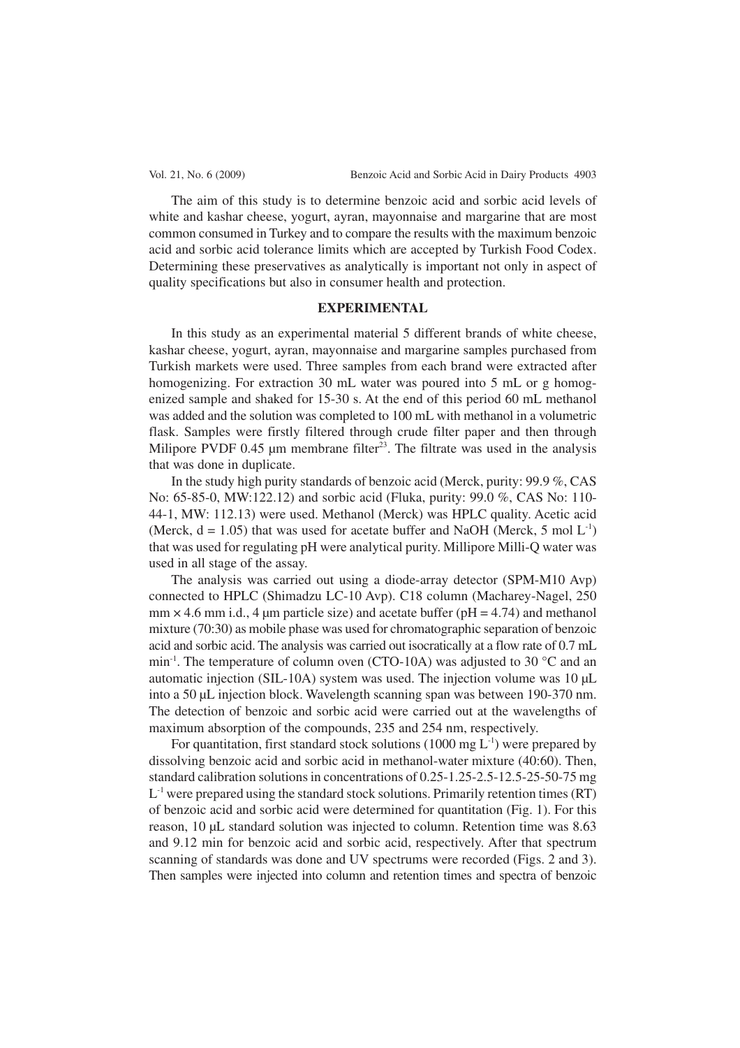The aim of this study is to determine benzoic acid and sorbic acid levels of white and kashar cheese, yogurt, ayran, mayonnaise and margarine that are most common consumed in Turkey and to compare the results with the maximum benzoic acid and sorbic acid tolerance limits which are accepted by Turkish Food Codex. Determining these preservatives as analytically is important not only in aspect of quality specifications but also in consumer health and protection.

## **EXPERIMENTAL**

In this study as an experimental material 5 different brands of white cheese, kashar cheese, yogurt, ayran, mayonnaise and margarine samples purchased from Turkish markets were used. Three samples from each brand were extracted after homogenizing. For extraction 30 mL water was poured into 5 mL or g homogenized sample and shaked for 15-30 s. At the end of this period 60 mL methanol was added and the solution was completed to 100 mL with methanol in a volumetric flask. Samples were firstly filtered through crude filter paper and then through Milipore PVDF  $0.45$  µm membrane filter<sup>23</sup>. The filtrate was used in the analysis that was done in duplicate.

In the study high purity standards of benzoic acid (Merck, purity: 99.9 %, CAS No: 65-85-0, MW:122.12) and sorbic acid (Fluka, purity: 99.0 %, CAS No: 110- 44-1, MW: 112.13) were used. Methanol (Merck) was HPLC quality. Acetic acid (Merck,  $d = 1.05$ ) that was used for acetate buffer and NaOH (Merck, 5 mol L<sup>-1</sup>) that was used for regulating pH were analytical purity. Millipore Milli-Q water was used in all stage of the assay.

The analysis was carried out using a diode-array detector (SPM-M10 Avp) connected to HPLC (Shimadzu LC-10 Avp). C18 column (Macharey-Nagel, 250 mm  $\times$  4.6 mm i.d., 4 µm particle size) and acetate buffer (pH = 4.74) and methanol mixture (70:30) as mobile phase was used for chromatographic separation of benzoic acid and sorbic acid. The analysis was carried out isocratically at a flow rate of 0.7 mL min<sup>-1</sup>. The temperature of column oven (CTO-10A) was adjusted to 30 °C and an automatic injection (SIL-10A) system was used. The injection volume was 10 µL into a 50 µL injection block. Wavelength scanning span was between 190-370 nm. The detection of benzoic and sorbic acid were carried out at the wavelengths of maximum absorption of the compounds, 235 and 254 nm, respectively.

For quantitation, first standard stock solutions (1000 mg  $L^{-1}$ ) were prepared by dissolving benzoic acid and sorbic acid in methanol-water mixture (40:60). Then, standard calibration solutions in concentrations of 0.25-1.25-2.5-12.5-25-50-75 mg  $L^{-1}$  were prepared using the standard stock solutions. Primarily retention times (RT) of benzoic acid and sorbic acid were determined for quantitation (Fig. 1). For this reason, 10 µL standard solution was injected to column. Retention time was 8.63 and 9.12 min for benzoic acid and sorbic acid, respectively. After that spectrum scanning of standards was done and UV spectrums were recorded (Figs. 2 and 3). Then samples were injected into column and retention times and spectra of benzoic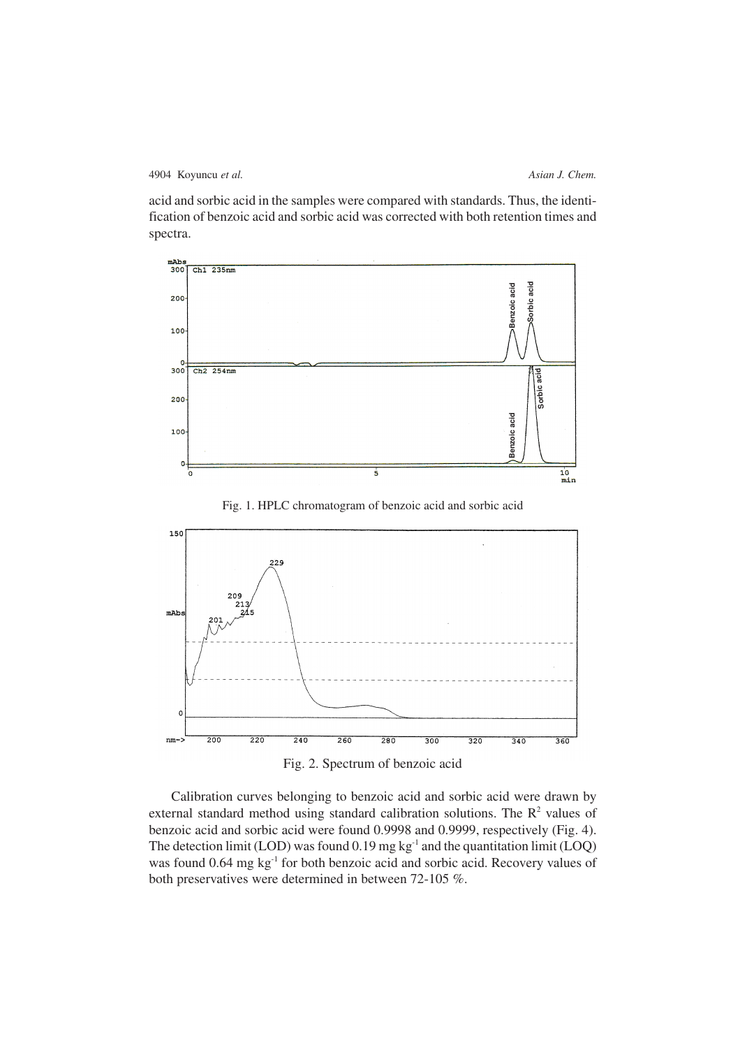acid and sorbic acid in the samples were compared with standards. Thus, the identification of benzoic acid and sorbic acid was corrected with both retention times and spectra.



Fig. 1. HPLC chromatogram of benzoic acid and sorbic acid



Fig. 2. Spectrum of benzoic acid

Calibration curves belonging to benzoic acid and sorbic acid were drawn by external standard method using standard calibration solutions. The  $R<sup>2</sup>$  values of benzoic acid and sorbic acid were found 0.9998 and 0.9999, respectively (Fig. 4). The detection limit (LOD) was found 0.19 mg kg<sup>-1</sup> and the quantitation limit (LOQ) was found 0.64 mg kg<sup>-1</sup> for both benzoic acid and sorbic acid. Recovery values of both preservatives were determined in between 72-105 %.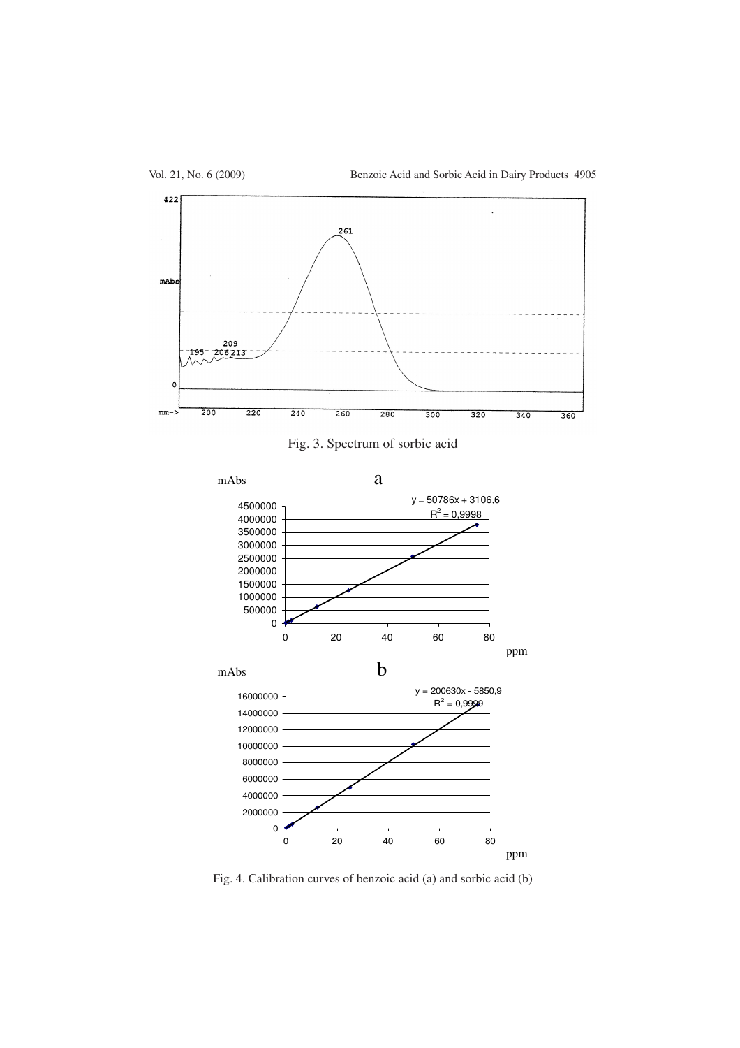





 Calıbratıon Curves Of Benzoıc Acıd (A) And Sorbıc Acıd (B) Fig. 4. Calibration curves of benzoic acid (a) and sorbic acid (b)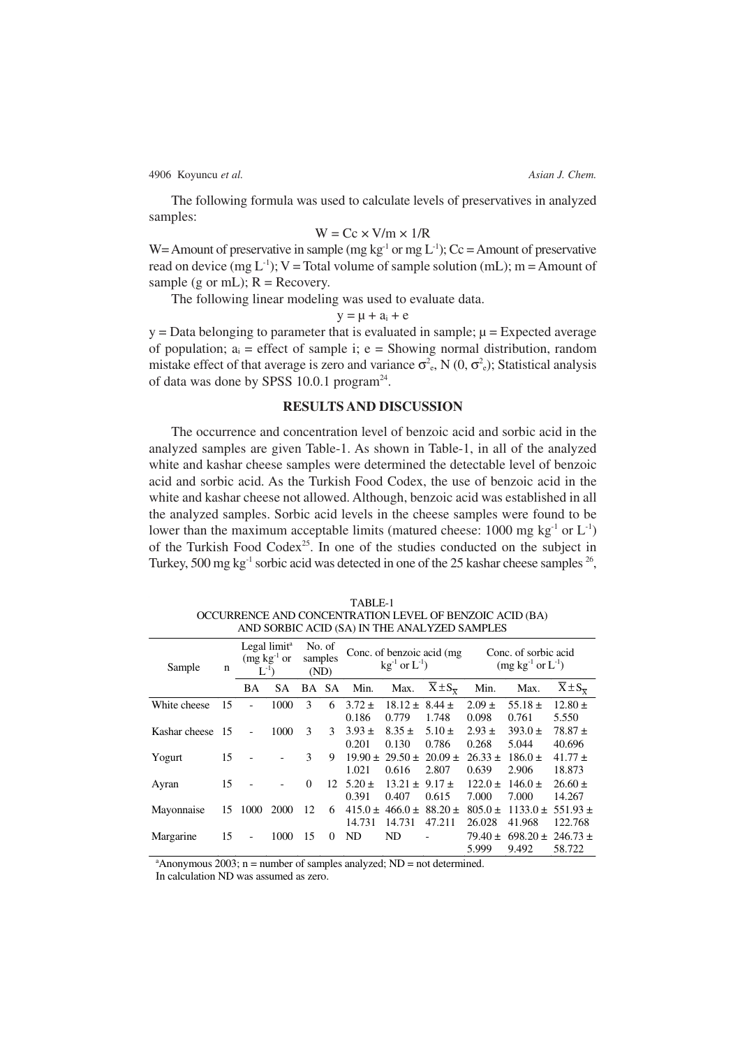The following formula was used to calculate levels of preservatives in analyzed samples:

### $W = Cc \times V/m \times 1/R$

W = Amount of preservative in sample (mg kg<sup>-1</sup> or mg L<sup>-1</sup>); Cc = Amount of preservative read on device (mg  $L^{-1}$ ); V = Total volume of sample solution (mL); m = Amount of sample (g or mL);  $R =$  Recovery.

The following linear modeling was used to evaluate data.

#### $y = \mu + a_i + e$

 $y = Data belonging to parameter that is evaluated in sample;  $\mu = Expected average$$ of population;  $a_i$  = effect of sample i; e = Showing normal distribution, random mistake effect of that average is zero and variance  $\sigma^2$ , N  $(0, \sigma^2)$ ; Statistical analysis of data was done by SPSS 10.0.1 program<sup>24</sup>.

# **RESULTS AND DISCUSSION**

The occurrence and concentration level of benzoic acid and sorbic acid in the analyzed samples are given Table-1. As shown in Table-1, in all of the analyzed white and kashar cheese samples were determined the detectable level of benzoic acid and sorbic acid. As the Turkish Food Codex, the use of benzoic acid in the white and kashar cheese not allowed. Although, benzoic acid was established in all the analyzed samples. Sorbic acid levels in the cheese samples were found to be lower than the maximum acceptable limits (matured cheese:  $1000 \text{ mg kg}^{-1}$  or  $L^{-1}$ ) of the Turkish Food Codex<sup>25</sup>. In one of the studies conducted on the subject in Turkey, 500 mg  $kg^{-1}$  sorbic acid was detected in one of the 25 kashar cheese samples  $^{26}$ ,

| AND SORBIC ACID (SA) IN THE ANALYZED SAMPLES |     |                                                             |           |                           |           |                                                       |                           |                          |                                            |              |                          |
|----------------------------------------------|-----|-------------------------------------------------------------|-----------|---------------------------|-----------|-------------------------------------------------------|---------------------------|--------------------------|--------------------------------------------|--------------|--------------------------|
| Sample                                       | n   | Legal limit <sup>a</sup><br>$(mg \; kg^{-1}$ or<br>$L^{-1}$ |           | No. of<br>samples<br>(ND) |           | Conc. of benzoic acid (mg)<br>$kg^{-1}$ or $L^{-1}$ ) |                           |                          | Conc. of sorbic acid<br>$(mg kg-1 or L-1)$ |              |                          |
|                                              |     | BA                                                          | <b>SA</b> | BA                        | <b>SA</b> | Min.                                                  | Max.                      | $X \pm S_{\overline{Y}}$ | Min.                                       | Max.         | $X \pm S_{\overline{x}}$ |
| White cheese                                 | 15  |                                                             | 1000      | 3                         | 6         | $3.72 \pm$                                            | $18.12 \pm 8.44 \pm$      |                          | $2.09 \pm$                                 | 55.18 $\pm$  | $12.80 \pm$              |
|                                              |     |                                                             |           |                           |           | 0.186                                                 | 0.779                     | 1.748                    | 0.098                                      | 0.761        | 5.550                    |
| Kashar cheese                                | -15 | $\overline{\phantom{0}}$                                    | 1000      | 3                         | 3         | $3.93 \pm$                                            | $8.35 \pm$                | $5.10 \pm$               | $2.93 \pm$                                 | $393.0 \pm$  | $78.87 \pm$              |
|                                              |     |                                                             |           |                           |           | 0.201                                                 | 0.130                     | 0.786                    | 0.268                                      | 5.044        | 40.696                   |
| Yogurt                                       | 15  |                                                             |           | 3                         | 9         | $19.90 \pm$                                           | $29.50 \pm$               | $20.09 \pm$              | $26.33 \pm$                                | $186.0 \pm$  | $41.77 \pm$              |
|                                              |     |                                                             |           |                           |           | 1.021                                                 | 0.616                     | 2.807                    | 0.639                                      | 2.906        | 18.873                   |
| Ayran                                        | 15  |                                                             |           | $\Omega$                  | 12        | $5.20 \pm$                                            | $13.21 \pm 9.17 \pm 1.13$ |                          | $122.0 \pm$                                | $146.0 \pm$  | $26.60 \pm$              |
|                                              |     |                                                             |           |                           |           | 0.391                                                 | 0.407                     | 0.615                    | 7.000                                      | 7.000        | 14.267                   |
| Mayonnaise                                   | 15  | 1000                                                        | 2000      | 12                        | 6         | $415.0 \pm$                                           | $466.0 \pm$               | $88.20 \pm$              | $805.0 \pm$                                | $1133.0 \pm$ | $551.93 \pm$             |
|                                              |     |                                                             |           |                           |           | 14.731                                                | 14.731                    | 47.211                   | 26.028                                     | 41.968       | 122.768                  |
| Margarine                                    | 15  |                                                             | 1000      | 15                        | $\Omega$  | N <sub>D</sub>                                        | N <sub>D</sub>            |                          | $79.40 \pm$                                | $698.20 \pm$ | $246.73 \pm$             |
|                                              |     |                                                             |           |                           |           |                                                       |                           |                          | 5.999                                      | 9.492        | 58.722                   |

TABLE-1 OCCURRENCE AND CONCENTRATION LEVEL OF BENZOIC ACID (BA) AND SORBIC ACID (SA) IN THE ANALYZED SAMPLES

 $a^2$ Anonymous 2003; n = number of samples analyzed; ND = not determined.

In calculation ND was assumed as zero.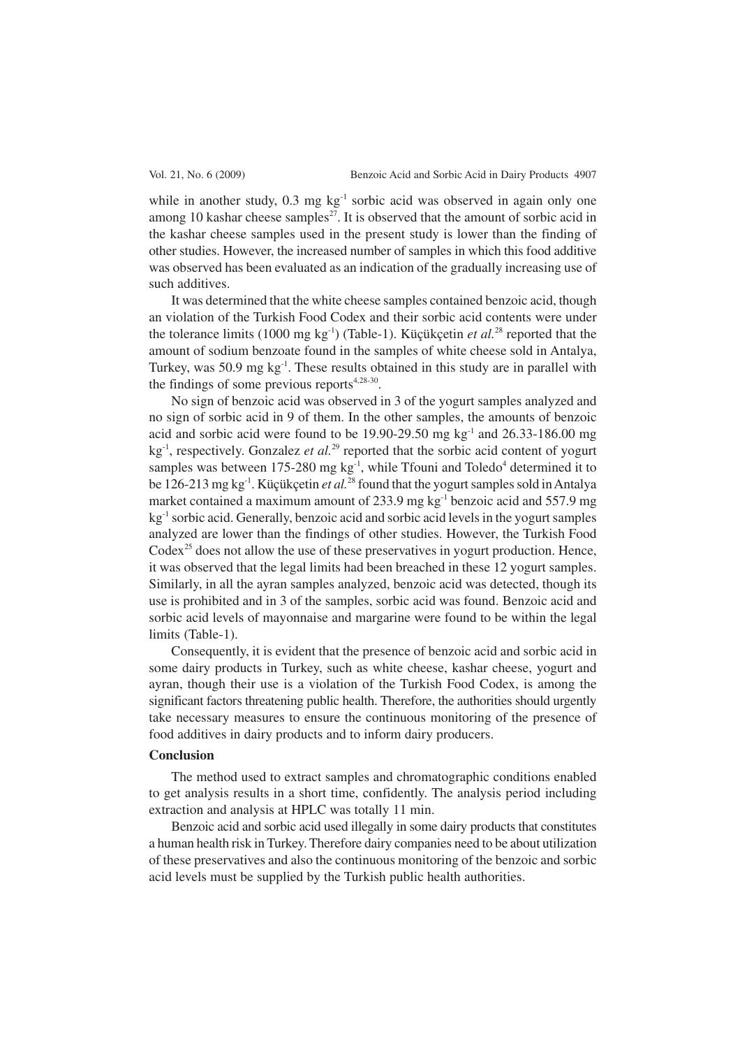while in another study,  $0.3 \text{ mg kg}^{-1}$  sorbic acid was observed in again only one among 10 kashar cheese samples<sup>27</sup>. It is observed that the amount of sorbic acid in the kashar cheese samples used in the present study is lower than the finding of other studies. However, the increased number of samples in which this food additive was observed has been evaluated as an indication of the gradually increasing use of such additives.

It was determined that the white cheese samples contained benzoic acid, though an violation of the Turkish Food Codex and their sorbic acid contents were under the tolerance limits (1000 mg kg-1) (Table-1). Küçükçetin *et al.*<sup>28</sup> reported that the amount of sodium benzoate found in the samples of white cheese sold in Antalya, Turkey, was 50.9 mg kg<sup>-1</sup>. These results obtained in this study are in parallel with the findings of some previous reports $4,28-30$ .

No sign of benzoic acid was observed in 3 of the yogurt samples analyzed and no sign of sorbic acid in 9 of them. In the other samples, the amounts of benzoic acid and sorbic acid were found to be 19.90-29.50 mg  $kg^{-1}$  and 26.33-186.00 mg kg<sup>-1</sup>, respectively. Gonzalez *et al.*<sup>29</sup> reported that the sorbic acid content of yogurt samples was between 175-280 mg  $kg^{-1}$ , while Tfouni and Toledo<sup>4</sup> determined it to be 126-213 mg kg-1. Küçükçetin *et al.*<sup>28</sup> found that the yogurt samples sold in Antalya market contained a maximum amount of 233.9 mg kg<sup>-1</sup> benzoic acid and 557.9 mg  $kg<sup>-1</sup>$  sorbic acid. Generally, benzoic acid and sorbic acid levels in the yogurt samples analyzed are lower than the findings of other studies. However, the Turkish Food Codex<sup>25</sup> does not allow the use of these preservatives in yogurt production. Hence, it was observed that the legal limits had been breached in these 12 yogurt samples. Similarly, in all the ayran samples analyzed, benzoic acid was detected, though its use is prohibited and in 3 of the samples, sorbic acid was found. Benzoic acid and sorbic acid levels of mayonnaise and margarine were found to be within the legal limits (Table-1).

Consequently, it is evident that the presence of benzoic acid and sorbic acid in some dairy products in Turkey, such as white cheese, kashar cheese, yogurt and ayran, though their use is a violation of the Turkish Food Codex, is among the significant factors threatening public health. Therefore, the authorities should urgently take necessary measures to ensure the continuous monitoring of the presence of food additives in dairy products and to inform dairy producers.

### **Conclusion**

The method used to extract samples and chromatographic conditions enabled to get analysis results in a short time, confidently. The analysis period including extraction and analysis at HPLC was totally 11 min.

Benzoic acid and sorbic acid used illegally in some dairy products that constitutes a human health risk in Turkey. Therefore dairy companies need to be about utilization of these preservatives and also the continuous monitoring of the benzoic and sorbic acid levels must be supplied by the Turkish public health authorities.